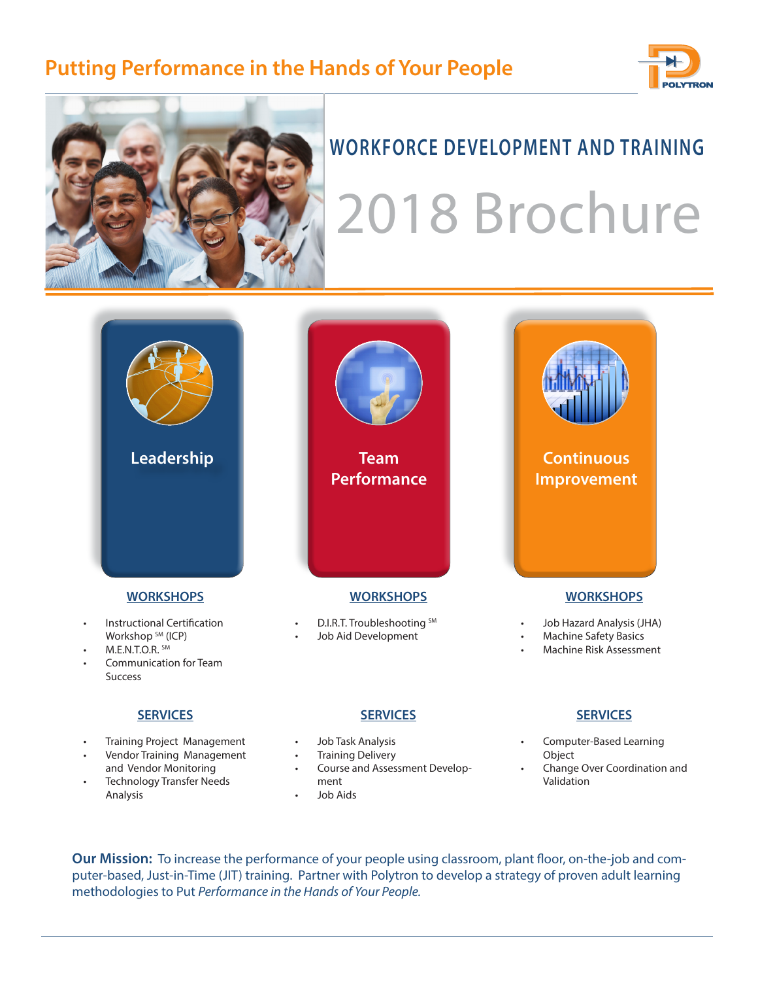# **Putting Performance in the Hands of Your People**





• Technology Transfer Needs

Analysis

# **WORKFORCE DEVELOPMENT AND TRAINING** 2018 Brochure



• Change Over Coordination and Validation

**Our Mission:** To increase the performance of your people using classroom, plant floor, on-the-job and computer-based, Just-in-Time (JIT) training. Partner with Polytron to develop a strategy of proven adult learning methodologies to Put *Performance in the Hands of Your People.*

ment • Job Aids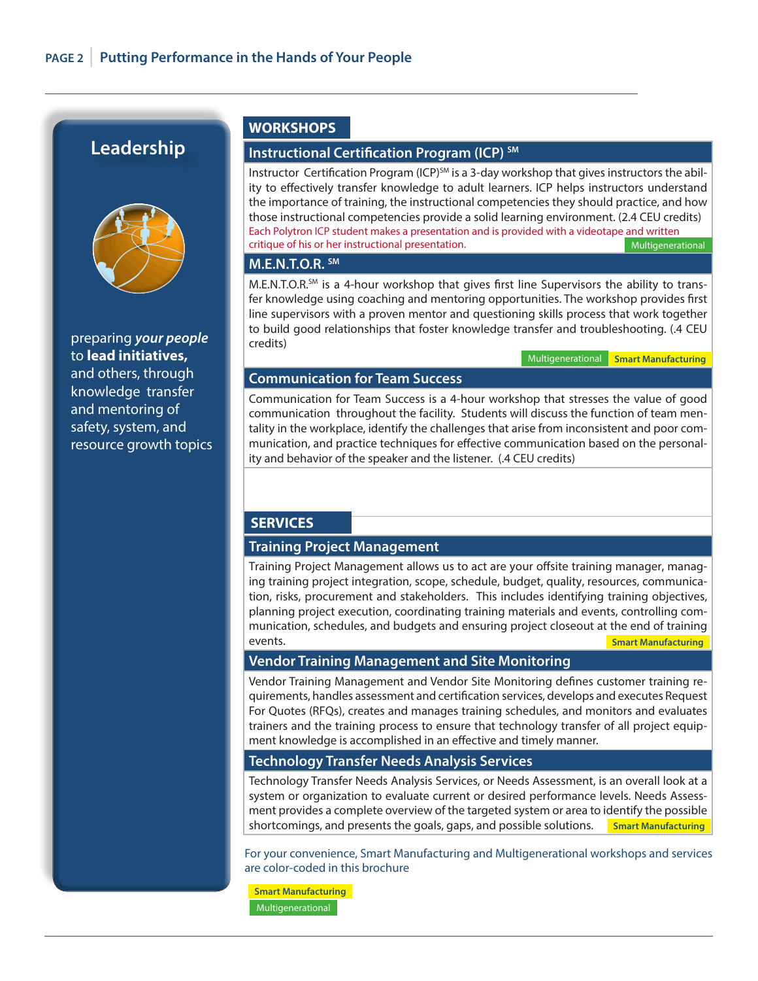# **Leadership**



preparing *your people* to **lead initiatives,** and others, through knowledge transfer and mentoring of safety, system, and resource growth topics

#### **WORKSHOPS**

#### **Instructional Certification Program (ICP)** SM

Instructor Certification Program (ICP)<sup>SM</sup> is a 3-day workshop that gives instructors the ability to effectively transfer knowledge to adult learners. ICP helps instructors understand the importance of training, the instructional competencies they should practice, and how those instructional competencies provide a solid learning environment. (2.4 CEU credits) Each Polytron ICP student makes a presentation and is provided with a videotape and written critique of his or her instructional presentation. Multigenerational

# **M.E.N.T.O.R. SM**

 $M.E.N.T.O.R.$ <sup>SM</sup> is a 4-hour workshop that gives first line Supervisors the ability to transfer knowledge using coaching and mentoring opportunities. The workshop provides first line supervisors with a proven mentor and questioning skills process that work together to build good relationships that foster knowledge transfer and troubleshooting. (.4 CEU credits)

Multigenerational **Smart Manufacturing**

#### **Communication for Team Success**

Communication for Team Success is a 4-hour workshop that stresses the value of good communication throughout the facility. Students will discuss the function of team mentality in the workplace, identify the challenges that arise from inconsistent and poor communication, and practice techniques for effective communication based on the personality and behavior of the speaker and the listener. (.4 CEU credits)

#### **SERVICES**

#### **Training Project Management**

Training Project Management allows us to act are your offsite training manager, managing training project integration, scope, schedule, budget, quality, resources, communication, risks, procurement and stakeholders. This includes identifying training objectives, planning project execution, coordinating training materials and events, controlling communication, schedules, and budgets and ensuring project closeout at the end of training events. **Smart Manufacturing**

#### **Vendor Training Management and Site Monitoring**

Vendor Training Management and Vendor Site Monitoring defines customer training requirements, handles assessment and certification services, develops and executes Request For Quotes (RFQs), creates and manages training schedules, and monitors and evaluates trainers and the training process to ensure that technology transfer of all project equipment knowledge is accomplished in an effective and timely manner.

#### **Technology Transfer Needs Analysis Services**

Technology Transfer Needs Analysis Services, or Needs Assessment, is an overall look at a system or organization to evaluate current or desired performance levels. Needs Assessment provides a complete overview of the targeted system or area to identify the possible shortcomings, and presents the goals, gaps, and possible solutions. **Smart Manufacturing**

For your convenience, Smart Manufacturing and Multigenerational workshops and services are color-coded in this brochure

 Multigenerational **Smart Manufacturing**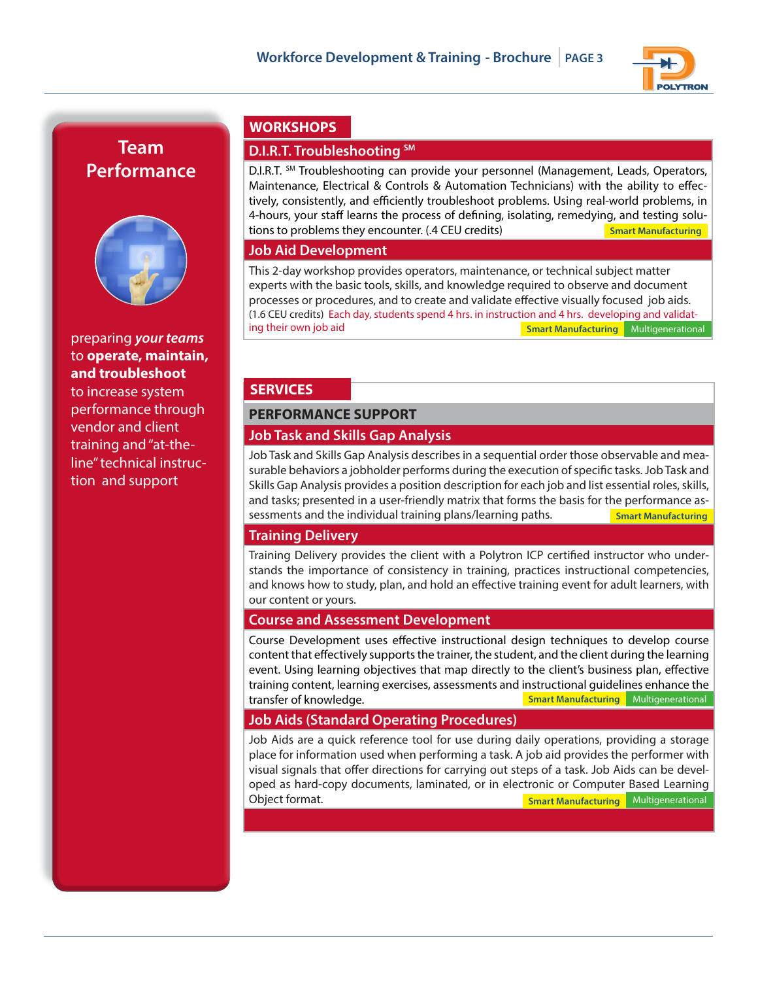

# **Team Performance**



#### preparing *your teams* to **operate, maintain, and troubleshoot**

to increase system performance through vendor and client training and "at-theline" technical instruction and support

# **WORKSHOPS**

## **D.I.R.T. Troubleshooting SM**

D.I.R.T. SM Troubleshooting can provide your personnel (Management, Leads, Operators, Maintenance, Electrical & Controls & Automation Technicians) with the ability to effectively, consistently, and efficiently troubleshoot problems. Using real-world problems, in 4-hours, your staff learns the process of defining, isolating, remedying, and testing solutions to problems they encounter. (.4 CEU credits) **Smart Manufacturing**

#### **Job Aid Development**

This 2-day workshop provides operators, maintenance, or technical subject matter experts with the basic tools, skills, and knowledge required to observe and document processes or procedures, and to create and validate effective visually focused job aids. (1.6 CEU credits) Each day, students spend 4 hrs. in instruction and 4 hrs. developing and validating their own job aid **Smart Manufacturing** Multigenerational

## **SERVICES**

## **PERFORMANCE SUPPORT Job Task and Skills Gap Analysis**

Job Task and Skills Gap Analysis describes in a sequential order those observable and measurable behaviors a jobholder performs during the execution of specific tasks. Job Task and Skills Gap Analysis provides a position description for each job and list essential roles, skills, and tasks; presented in a user-friendly matrix that forms the basis for the performance assessments and the individual training plans/learning paths. **Smart Manufacturing**

#### **Training Delivery**

Training Delivery provides the client with a Polytron ICP certified instructor who understands the importance of consistency in training, practices instructional competencies, and knows how to study, plan, and hold an effective training event for adult learners, with our content or yours.

#### **Course and Assessment Development**

Course Development uses effective instructional design techniques to develop course content that effectively supports the trainer, the student, and the client during the learning event. Using learning objectives that map directly to the client's business plan, effective training content, learning exercises, assessments and instructional guidelines enhance the transfer of knowledge. **Smart Manufacturing** Multigenerational

#### **Job Aids (Standard Operating Procedures)**

Job Aids are a quick reference tool for use during daily operations, providing a storage place for information used when performing a task. A job aid provides the performer with visual signals that offer directions for carrying out steps of a task. Job Aids can be developed as hard-copy documents, laminated, or in electronic or Computer Based Learning Object format. **Smart Manufacturing** Multigenerational